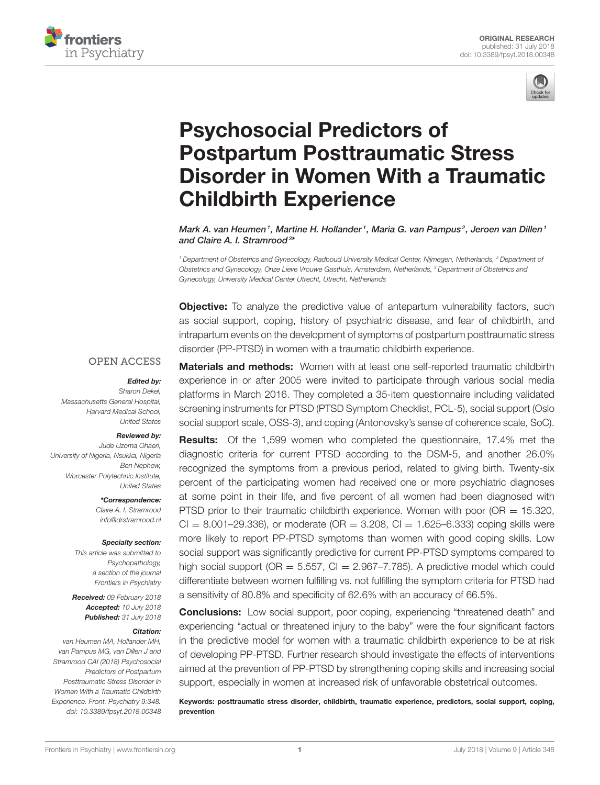



# Psychosocial Predictors of Postpartum Posttraumatic Stress [Disorder in Women With a Traumatic](https://www.frontiersin.org/articles/10.3389/fpsyt.2018.00348/full) Childbirth Experience

[Mark A. van Heumen](http://loop.frontiersin.org/people/519589/overview)1, [Martine H. Hollander](http://loop.frontiersin.org/people/590199/overview)1, Maria G. van Pampus2, Jeroen van Dillen1 and [Claire A. I. Stramrood](http://loop.frontiersin.org/people/479782/overview)<sup>3\*</sup>

*<sup>1</sup> Department of Obstetrics and Gynecology, Radboud University Medical Center, Nijmegen, Netherlands, <sup>2</sup> Department of Obstetrics and Gynecology, Onze Lieve Vrouwe Gasthuis, Amsterdam, Netherlands, <sup>3</sup> Department of Obstetrics and Gynecology, University Medical Center Utrecht, Utrecht, Netherlands*

**Objective:** To analyze the predictive value of antepartum vulnerability factors, such as social support, coping, history of psychiatric disease, and fear of childbirth, and intrapartum events on the development of symptoms of postpartum posttraumatic stress disorder (PP-PTSD) in women with a traumatic childbirth experience.

#### **OPEN ACCESS**

#### Edited by:

*Sharon Dekel, Massachusetts General Hospital, Harvard Medical School, United States*

#### Reviewed by:

*Jude Uzoma Ohaeri, University of Nigeria, Nsukka, Nigeria Ben Nephew, Worcester Polytechnic Institute, United States*

> \*Correspondence: *Claire A. I. Stramrood [info@drstramrood.nl](mailto:info@drstramrood.nl)*

#### Specialty section:

*This article was submitted to Psychopathology, a section of the journal Frontiers in Psychiatry*

Received: *09 February 2018* Accepted: *10 July 2018* Published: *31 July 2018*

#### Citation:

*van Heumen MA, Hollander MH, van Pampus MG, van Dillen J and Stramrood CAI (2018) Psychosocial Predictors of Postpartum Posttraumatic Stress Disorder in Women With a Traumatic Childbirth Experience. Front. Psychiatry 9:348. doi: [10.3389/fpsyt.2018.00348](https://doi.org/10.3389/fpsyt.2018.00348)*

**Materials and methods:** Women with at least one self-reported traumatic childbirth experience in or after 2005 were invited to participate through various social media platforms in March 2016. They completed a 35-item questionnaire including validated screening instruments for PTSD (PTSD Symptom Checklist, PCL-5), social support (Oslo social support scale, OSS-3), and coping (Antonovsky's sense of coherence scale, SoC).

Results: Of the 1,599 women who completed the questionnaire, 17.4% met the diagnostic criteria for current PTSD according to the DSM-5, and another 26.0% recognized the symptoms from a previous period, related to giving birth. Twenty-six percent of the participating women had received one or more psychiatric diagnoses at some point in their life, and five percent of all women had been diagnosed with PTSD prior to their traumatic childbirth experience. Women with poor ( $OR = 15.320$ ,  $CI = 8.001 - 29.336$ , or moderate (OR = 3.208, CI = 1.625-6.333) coping skills were more likely to report PP-PTSD symptoms than women with good coping skills. Low social support was significantly predictive for current PP-PTSD symptoms compared to high social support ( $OR = 5.557$ ,  $CI = 2.967 - 7.785$ ). A predictive model which could differentiate between women fulfilling vs. not fulfilling the symptom criteria for PTSD had a sensitivity of 80.8% and specificity of 62.6% with an accuracy of 66.5%.

**Conclusions:** Low social support, poor coping, experiencing "threatened death" and experiencing "actual or threatened injury to the baby" were the four significant factors in the predictive model for women with a traumatic childbirth experience to be at risk of developing PP-PTSD. Further research should investigate the effects of interventions aimed at the prevention of PP-PTSD by strengthening coping skills and increasing social support, especially in women at increased risk of unfavorable obstetrical outcomes.

Keywords: posttraumatic stress disorder, childbirth, traumatic experience, predictors, social support, coping, prevention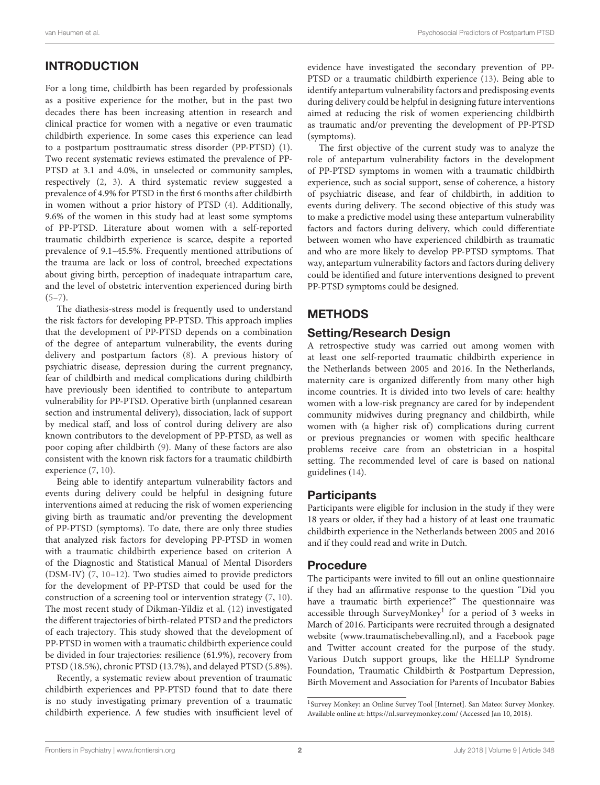# INTRODUCTION

For a long time, childbirth has been regarded by professionals as a positive experience for the mother, but in the past two decades there has been increasing attention in research and clinical practice for women with a negative or even traumatic childbirth experience. In some cases this experience can lead to a postpartum posttraumatic stress disorder (PP-PTSD) [\(1\)](#page-7-0). Two recent systematic reviews estimated the prevalence of PP-PTSD at 3.1 and 4.0%, in unselected or community samples, respectively [\(2,](#page-7-1) [3\)](#page-7-2). A third systematic review suggested a prevalence of 4.9% for PTSD in the first 6 months after childbirth in women without a prior history of PTSD [\(4\)](#page-7-3). Additionally, 9.6% of the women in this study had at least some symptoms of PP-PTSD. Literature about women with a self-reported traumatic childbirth experience is scarce, despite a reported prevalence of 9.1–45.5%. Frequently mentioned attributions of the trauma are lack or loss of control, breeched expectations about giving birth, perception of inadequate intrapartum care, and the level of obstetric intervention experienced during birth  $(5-7)$  $(5-7)$ .

The diathesis-stress model is frequently used to understand the risk factors for developing PP-PTSD. This approach implies that the development of PP-PTSD depends on a combination of the degree of antepartum vulnerability, the events during delivery and postpartum factors [\(8\)](#page-7-6). A previous history of psychiatric disease, depression during the current pregnancy, fear of childbirth and medical complications during childbirth have previously been identified to contribute to antepartum vulnerability for PP-PTSD. Operative birth (unplanned cesarean section and instrumental delivery), dissociation, lack of support by medical staff, and loss of control during delivery are also known contributors to the development of PP-PTSD, as well as poor coping after childbirth [\(9\)](#page-8-0). Many of these factors are also consistent with the known risk factors for a traumatic childbirth experience [\(7,](#page-7-5) [10\)](#page-8-1).

Being able to identify antepartum vulnerability factors and events during delivery could be helpful in designing future interventions aimed at reducing the risk of women experiencing giving birth as traumatic and/or preventing the development of PP-PTSD (symptoms). To date, there are only three studies that analyzed risk factors for developing PP-PTSD in women with a traumatic childbirth experience based on criterion A of the Diagnostic and Statistical Manual of Mental Disorders (DSM-IV) [\(7,](#page-7-5) [10–](#page-8-1)[12\)](#page-8-2). Two studies aimed to provide predictors for the development of PP-PTSD that could be used for the construction of a screening tool or intervention strategy [\(7,](#page-7-5) [10\)](#page-8-1). The most recent study of Dikman-Yildiz et al. [\(12\)](#page-8-2) investigated the different trajectories of birth-related PTSD and the predictors of each trajectory. This study showed that the development of PP-PTSD in women with a traumatic childbirth experience could be divided in four trajectories: resilience (61.9%), recovery from PTSD (18.5%), chronic PTSD (13.7%), and delayed PTSD (5.8%).

Recently, a systematic review about prevention of traumatic childbirth experiences and PP-PTSD found that to date there is no study investigating primary prevention of a traumatic childbirth experience. A few studies with insufficient level of evidence have investigated the secondary prevention of PP-PTSD or a traumatic childbirth experience [\(13\)](#page-8-3). Being able to identify antepartum vulnerability factors and predisposing events during delivery could be helpful in designing future interventions aimed at reducing the risk of women experiencing childbirth as traumatic and/or preventing the development of PP-PTSD (symptoms).

The first objective of the current study was to analyze the role of antepartum vulnerability factors in the development of PP-PTSD symptoms in women with a traumatic childbirth experience, such as social support, sense of coherence, a history of psychiatric disease, and fear of childbirth, in addition to events during delivery. The second objective of this study was to make a predictive model using these antepartum vulnerability factors and factors during delivery, which could differentiate between women who have experienced childbirth as traumatic and who are more likely to develop PP-PTSD symptoms. That way, antepartum vulnerability factors and factors during delivery could be identified and future interventions designed to prevent PP-PTSD symptoms could be designed.

# **METHODS**

## Setting/Research Design

A retrospective study was carried out among women with at least one self-reported traumatic childbirth experience in the Netherlands between 2005 and 2016. In the Netherlands, maternity care is organized differently from many other high income countries. It is divided into two levels of care: healthy women with a low-risk pregnancy are cared for by independent community midwives during pregnancy and childbirth, while women with (a higher risk of) complications during current or previous pregnancies or women with specific healthcare problems receive care from an obstetrician in a hospital setting. The recommended level of care is based on national guidelines [\(14\)](#page-8-4).

#### **Participants**

Participants were eligible for inclusion in the study if they were 18 years or older, if they had a history of at least one traumatic childbirth experience in the Netherlands between 2005 and 2016 and if they could read and write in Dutch.

#### Procedure

The participants were invited to fill out an online questionnaire if they had an affirmative response to the question "Did you have a traumatic birth experience?" The questionnaire was accessible through SurveyMonkey<sup>[1](#page-1-0)</sup> for a period of 3 weeks in March of 2016. Participants were recruited through a designated website [\(www.traumatischebevalling.nl\)](www.traumatischebevalling.nl), and a Facebook page and Twitter account created for the purpose of the study. Various Dutch support groups, like the HELLP Syndrome Foundation, Traumatic Childbirth & Postpartum Depression, Birth Movement and Association for Parents of Incubator Babies

<span id="page-1-0"></span><sup>1</sup> Survey Monkey: an Online Survey Tool [Internet]. San Mateo: Survey Monkey. Available online at:<https://nl.surveymonkey.com/> (Accessed Jan 10, 2018).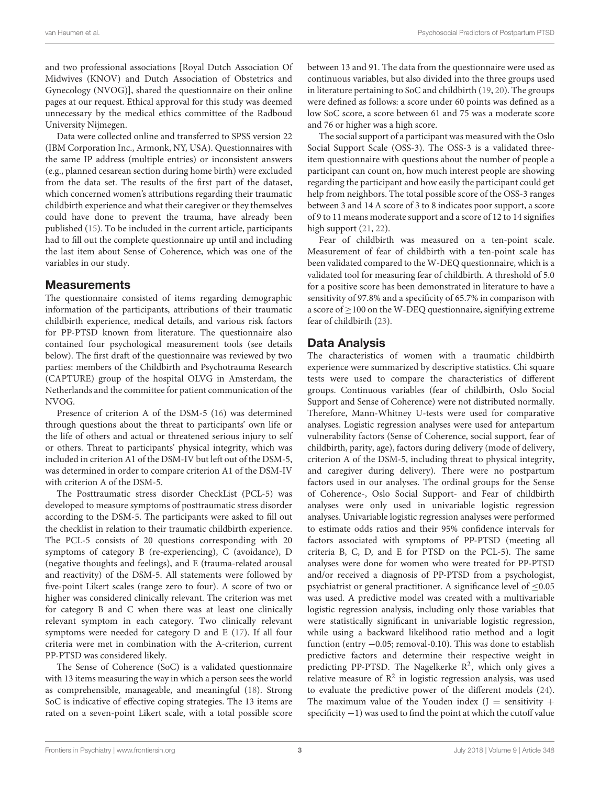and two professional associations [Royal Dutch Association Of Midwives (KNOV) and Dutch Association of Obstetrics and Gynecology (NVOG)], shared the questionnaire on their online pages at our request. Ethical approval for this study was deemed unnecessary by the medical ethics committee of the Radboud University Nijmegen.

Data were collected online and transferred to SPSS version 22 (IBM Corporation Inc., Armonk, NY, USA). Questionnaires with the same IP address (multiple entries) or inconsistent answers (e.g., planned cesarean section during home birth) were excluded from the data set. The results of the first part of the dataset, which concerned women's attributions regarding their traumatic childbirth experience and what their caregiver or they themselves could have done to prevent the trauma, have already been published [\(15\)](#page-8-5). To be included in the current article, participants had to fill out the complete questionnaire up until and including the last item about Sense of Coherence, which was one of the variables in our study.

#### **Measurements**

The questionnaire consisted of items regarding demographic information of the participants, attributions of their traumatic childbirth experience, medical details, and various risk factors for PP-PTSD known from literature. The questionnaire also contained four psychological measurement tools (see details below). The first draft of the questionnaire was reviewed by two parties: members of the Childbirth and Psychotrauma Research (CAPTURE) group of the hospital OLVG in Amsterdam, the Netherlands and the committee for patient communication of the NVOG.

Presence of criterion A of the DSM-5 [\(16\)](#page-8-6) was determined through questions about the threat to participants' own life or the life of others and actual or threatened serious injury to self or others. Threat to participants' physical integrity, which was included in criterion A1 of the DSM-IV but left out of the DSM-5, was determined in order to compare criterion A1 of the DSM-IV with criterion A of the DSM-5.

The Posttraumatic stress disorder CheckList (PCL-5) was developed to measure symptoms of posttraumatic stress disorder according to the DSM-5. The participants were asked to fill out the checklist in relation to their traumatic childbirth experience. The PCL-5 consists of 20 questions corresponding with 20 symptoms of category B (re-experiencing), C (avoidance), D (negative thoughts and feelings), and E (trauma-related arousal and reactivity) of the DSM-5. All statements were followed by five-point Likert scales (range zero to four). A score of two or higher was considered clinically relevant. The criterion was met for category B and C when there was at least one clinically relevant symptom in each category. Two clinically relevant symptoms were needed for category D and E [\(17\)](#page-8-7). If all four criteria were met in combination with the A-criterion, current PP-PTSD was considered likely.

The Sense of Coherence (SoC) is a validated questionnaire with 13 items measuring the way in which a person sees the world as comprehensible, manageable, and meaningful [\(18\)](#page-8-8). Strong SoC is indicative of effective coping strategies. The 13 items are rated on a seven-point Likert scale, with a total possible score between 13 and 91. The data from the questionnaire were used as continuous variables, but also divided into the three groups used in literature pertaining to SoC and childbirth [\(19,](#page-8-9) [20\)](#page-8-10). The groups were defined as follows: a score under 60 points was defined as a low SoC score, a score between 61 and 75 was a moderate score and 76 or higher was a high score.

The social support of a participant was measured with the Oslo Social Support Scale (OSS-3). The OSS-3 is a validated threeitem questionnaire with questions about the number of people a participant can count on, how much interest people are showing regarding the participant and how easily the participant could get help from neighbors. The total possible score of the OSS-3 ranges between 3 and 14 A score of 3 to 8 indicates poor support, a score of 9 to 11 means moderate support and a score of 12 to 14 signifies high support [\(21,](#page-8-11) [22\)](#page-8-12).

Fear of childbirth was measured on a ten-point scale. Measurement of fear of childbirth with a ten-point scale has been validated compared to the W-DEQ questionnaire, which is a validated tool for measuring fear of childbirth. A threshold of 5.0 for a positive score has been demonstrated in literature to have a sensitivity of 97.8% and a specificity of 65.7% in comparison with a score of  $\geq$ 100 on the W-DEQ questionnaire, signifying extreme fear of childbirth [\(23\)](#page-8-13).

#### Data Analysis

The characteristics of women with a traumatic childbirth experience were summarized by descriptive statistics. Chi square tests were used to compare the characteristics of different groups. Continuous variables (fear of childbirth, Oslo Social Support and Sense of Coherence) were not distributed normally. Therefore, Mann-Whitney U-tests were used for comparative analyses. Logistic regression analyses were used for antepartum vulnerability factors (Sense of Coherence, social support, fear of childbirth, parity, age), factors during delivery (mode of delivery, criterion A of the DSM-5, including threat to physical integrity, and caregiver during delivery). There were no postpartum factors used in our analyses. The ordinal groups for the Sense of Coherence-, Oslo Social Support- and Fear of childbirth analyses were only used in univariable logistic regression analyses. Univariable logistic regression analyses were performed to estimate odds ratios and their 95% confidence intervals for factors associated with symptoms of PP-PTSD (meeting all criteria B, C, D, and E for PTSD on the PCL-5). The same analyses were done for women who were treated for PP-PTSD and/or received a diagnosis of PP-PTSD from a psychologist, psychiatrist or general practitioner. A significance level of ≤0.05 was used. A predictive model was created with a multivariable logistic regression analysis, including only those variables that were statistically significant in univariable logistic regression, while using a backward likelihood ratio method and a logit function (entry −0.05; removal-0.10). This was done to establish predictive factors and determine their respective weight in predicting PP-PTSD. The Nagelkerke  $R^2$ , which only gives a relative measure of  $\mathbb{R}^2$  in logistic regression analysis, was used to evaluate the predictive power of the different models [\(24\)](#page-8-14). The maximum value of the Youden index  $(J =$  sensitivity  $+$ specificity −1) was used to find the point at which the cutoff value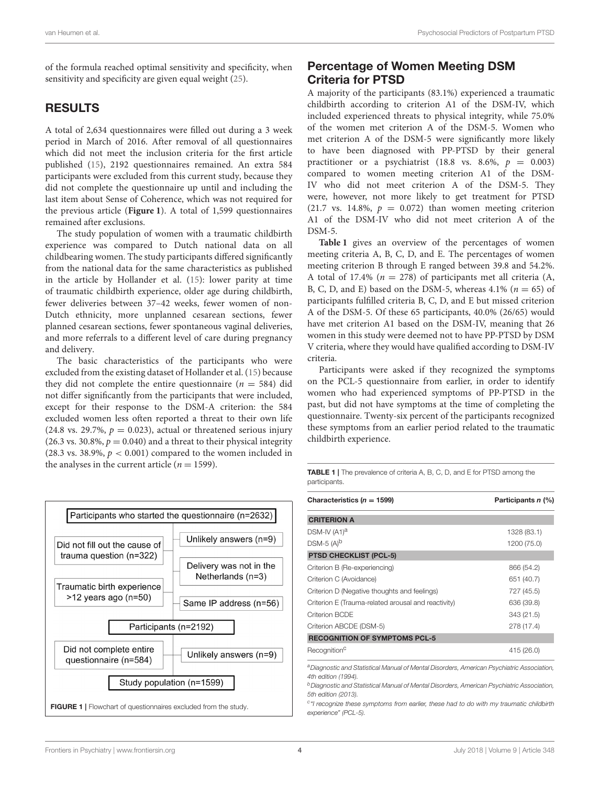of the formula reached optimal sensitivity and specificity, when sensitivity and specificity are given equal weight [\(25\)](#page-8-15).

### RESULTS

A total of 2,634 questionnaires were filled out during a 3 week period in March of 2016. After removal of all questionnaires which did not meet the inclusion criteria for the first article published [\(15\)](#page-8-5), 2192 questionnaires remained. An extra 584 participants were excluded from this current study, because they did not complete the questionnaire up until and including the last item about Sense of Coherence, which was not required for the previous article (**[Figure 1](#page-3-0)**). A total of 1,599 questionnaires remained after exclusions.

The study population of women with a traumatic childbirth experience was compared to Dutch national data on all childbearing women. The study participants differed significantly from the national data for the same characteristics as published in the article by Hollander et al. [\(15\)](#page-8-5): lower parity at time of traumatic childbirth experience, older age during childbirth, fewer deliveries between 37–42 weeks, fewer women of non-Dutch ethnicity, more unplanned cesarean sections, fewer planned cesarean sections, fewer spontaneous vaginal deliveries, and more referrals to a different level of care during pregnancy and delivery.

The basic characteristics of the participants who were excluded from the existing dataset of Hollander et al. [\(15\)](#page-8-5) because they did not complete the entire questionnaire ( $n = 584$ ) did not differ significantly from the participants that were included, except for their response to the DSM-A criterion: the 584 excluded women less often reported a threat to their own life (24.8 vs. 29.7%,  $p = 0.023$ ), actual or threatened serious injury (26.3 vs. 30.8%,  $p = 0.040$ ) and a threat to their physical integrity (28.3 vs. 38.9%,  $p < 0.001$ ) compared to the women included in the analyses in the current article ( $n = 1599$ ).

<span id="page-3-0"></span>

## Percentage of Women Meeting DSM Criteria for PTSD

A majority of the participants (83.1%) experienced a traumatic childbirth according to criterion A1 of the DSM-IV, which included experienced threats to physical integrity, while 75.0% of the women met criterion A of the DSM-5. Women who met criterion A of the DSM-5 were significantly more likely to have been diagnosed with PP-PTSD by their general practitioner or a psychiatrist (18.8 vs. 8.6%,  $p = 0.003$ ) compared to women meeting criterion A1 of the DSM-IV who did not meet criterion A of the DSM-5. They were, however, not more likely to get treatment for PTSD (21.7 vs. 14.8%,  $p = 0.072$ ) than women meeting criterion A1 of the DSM-IV who did not meet criterion A of the DSM-5.

**[Table 1](#page-3-1)** gives an overview of the percentages of women meeting criteria A, B, C, D, and E. The percentages of women meeting criterion B through E ranged between 39.8 and 54.2%. A total of 17.4% ( $n = 278$ ) of participants met all criteria (A, B, C, D, and E) based on the DSM-5, whereas 4.1% ( $n = 65$ ) of participants fulfilled criteria B, C, D, and E but missed criterion A of the DSM-5. Of these 65 participants, 40.0% (26/65) would have met criterion A1 based on the DSM-IV, meaning that 26 women in this study were deemed not to have PP-PTSD by DSM V criteria, where they would have qualified according to DSM-IV criteria.

Participants were asked if they recognized the symptoms on the PCL-5 questionnaire from earlier, in order to identify women who had experienced symptoms of PP-PTSD in the past, but did not have symptoms at the time of completing the questionnaire. Twenty-six percent of the participants recognized these symptoms from an earlier period related to the traumatic childbirth experience.

<span id="page-3-1"></span>TABLE 1 | The prevalence of criteria A, B, C, D, and E for PTSD among the participants.

| Characteristics ( $n = 1599$ )                                                             | Participants n (%) |
|--------------------------------------------------------------------------------------------|--------------------|
| <b>CRITERION A</b>                                                                         |                    |
| DSM-IV (A1) <sup>a</sup>                                                                   | 1328 (83.1)        |
| DSM-5 $(A)^b$                                                                              | 1200 (75.0)        |
| <b>PTSD CHECKLIST (PCL-5)</b>                                                              |                    |
| Criterion B (Re-experiencing)                                                              | 866 (54.2)         |
| Criterion C (Avoidance)                                                                    | 651 (40.7)         |
| Criterion D (Negative thoughts and feelings)                                               | 727 (45.5)         |
| Criterion E (Trauma-related arousal and reactivity)                                        | 636 (39.8)         |
| Criterion BCDE                                                                             | 343 (21.5)         |
| Criterion ABCDE (DSM-5)                                                                    | 278 (17.4)         |
| <b>RECOGNITION OF SYMPTOMS PCL-5</b>                                                       |                    |
| Recognition <sup>c</sup>                                                                   | 415 (26.0)         |
| a Diagnostic and Statistical Manual of Mental Disorders, American Psychiatric Association, |                    |

*4th edition (1994).*

*<sup>b</sup>Diagnostic and Statistical Manual of Mental Disorders, American Psychiatric Association, 5th edition (2013).*

*c "I recognize these symptoms from earlier, these had to do with my traumatic childbirth experience" (PCL-5).*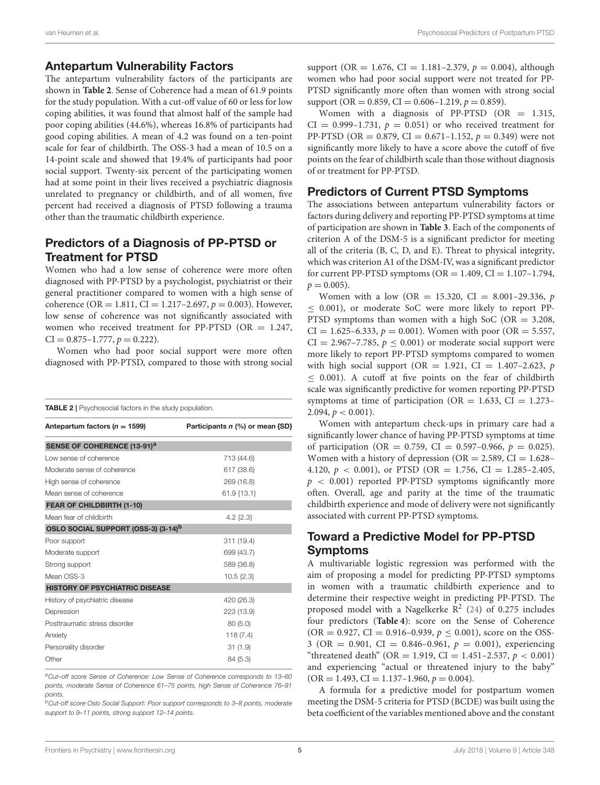#### Antepartum Vulnerability Factors

The antepartum vulnerability factors of the participants are shown in **[Table 2](#page-4-0)**. Sense of Coherence had a mean of 61.9 points for the study population. With a cut-off value of 60 or less for low coping abilities, it was found that almost half of the sample had poor coping abilities (44.6%), whereas 16.8% of participants had good coping abilities. A mean of 4.2 was found on a ten-point scale for fear of childbirth. The OSS-3 had a mean of 10.5 on a 14-point scale and showed that 19.4% of participants had poor social support. Twenty-six percent of the participating women had at some point in their lives received a psychiatric diagnosis unrelated to pregnancy or childbirth, and of all women, five percent had received a diagnosis of PTSD following a trauma other than the traumatic childbirth experience.

#### Predictors of a Diagnosis of PP-PTSD or Treatment for PTSD

Women who had a low sense of coherence were more often diagnosed with PP-PTSD by a psychologist, psychiatrist or their general practitioner compared to women with a high sense of coherence (OR = 1.811, CI = 1.217-2.697,  $p = 0.003$ ). However, low sense of coherence was not significantly associated with women who received treatment for PP-PTSD (OR  $= 1.247$ ,  $CI = 0.875 - 1.777$ ,  $p = 0.222$ ).

Women who had poor social support were more often diagnosed with PP-PTSD, compared to those with strong social

<span id="page-4-0"></span>

| TABLE 2   Psychosocial factors in the study population. |  |  |
|---------------------------------------------------------|--|--|
|                                                         |  |  |

| Antepartum factors ( $n = 1599$ )               | Participants n (%) or mean {SD} |  |  |
|-------------------------------------------------|---------------------------------|--|--|
| SENSE OF COHERENCE (13-91) <sup>a</sup>         |                                 |  |  |
| Low sense of coherence                          | 713 (44.6)                      |  |  |
| Moderate sense of coherence                     | 617 (38.6)                      |  |  |
| High sense of coherence                         | 269 (16.8)                      |  |  |
| Mean sense of coherence                         | $61.9$ {13.1}                   |  |  |
| <b>FEAR OF CHILDBIRTH (1-10)</b>                |                                 |  |  |
| Mean fear of childbirth                         | $4.2$ {2.3}                     |  |  |
| OSLO SOCIAL SUPPORT (OSS-3) (3-14) <sup>b</sup> |                                 |  |  |
| Poor support                                    | 311 (19.4)                      |  |  |
| Moderate support                                | 699 (43.7)                      |  |  |
| Strong support                                  | 589 (36.8)                      |  |  |
| Mean OSS-3                                      | $10.5$ {2.3}                    |  |  |
| <b>HISTORY OF PSYCHIATRIC DISEASE</b>           |                                 |  |  |
| History of psychiatric disease                  | 420 (26.3)                      |  |  |
| Depression                                      | 223 (13.9)                      |  |  |
| Posttraumatic stress disorder                   | 80(5.0)                         |  |  |
| Anxiety                                         | 118(7.4)                        |  |  |
| Personality disorder                            | 31(1.9)                         |  |  |
| Other                                           | 84 (5.3)                        |  |  |

*<sup>a</sup>Cut–off score Sense of Coherence: Low Sense of Coherence corresponds to 13–60 points, moderate Sense of Coherence 61–75 points, high Sense of Coherence 76–91 points.*

*<sup>b</sup>Cut-off score Oslo Social Support: Poor support corresponds to 3–8 points, moderate support to 9–11 points, strong support 12–14 points.*

support (OR = 1.676, CI = 1.181-2.379,  $p = 0.004$ ), although women who had poor social support were not treated for PP-PTSD significantly more often than women with strong social support (OR = 0.859, CI = 0.606–1.219,  $p = 0.859$ ).

Women with a diagnosis of PP-PTSD  $(OR = 1.315,$  $CI = 0.999 - 1.731$ ,  $p = 0.051$ ) or who received treatment for PP-PTSD (OR = 0.879, CI = 0.671-1.152,  $p = 0.349$ ) were not significantly more likely to have a score above the cutoff of five points on the fear of childbirth scale than those without diagnosis of or treatment for PP-PTSD.

#### Predictors of Current PTSD Symptoms

The associations between antepartum vulnerability factors or factors during delivery and reporting PP-PTSD symptoms at time of participation are shown in **[Table 3](#page-5-0)**. Each of the components of criterion A of the DSM-5 is a significant predictor for meeting all of the criteria (B, C, D, and E). Threat to physical integrity, which was criterion A1 of the DSM-IV, was a significant predictor for current PP-PTSD symptoms ( $OR = 1.409$ ,  $CI = 1.107 - 1.794$ ,  $p = 0.005$ ).

Women with a low (OR = 15.320, CI = 8.001-29.336,  $p$  $\leq$  0.001), or moderate SoC were more likely to report PP-PTSD symptoms than women with a high SoC ( $OR = 3.208$ ,  $CI = 1.625 - 6.333$ ,  $p = 0.001$ ). Women with poor (OR = 5.557,  $CI = 2.967 - 7.785$ ,  $p \leq 0.001$ ) or moderate social support were more likely to report PP-PTSD symptoms compared to women with high social support ( $OR = 1.921$ ,  $CI = 1.407 - 2.623$ , p  $\leq$  0.001). A cutoff at five points on the fear of childbirth scale was significantly predictive for women reporting PP-PTSD symptoms at time of participation (OR = 1.633, CI = 1.273– 2.094,  $p < 0.001$ ).

Women with antepartum check-ups in primary care had a significantly lower chance of having PP-PTSD symptoms at time of participation (OR = 0.759, CI = 0.597-0.966,  $p = 0.025$ ). Women with a history of depression ( $OR = 2.589$ ,  $CI = 1.628 -$ 4.120,  $p < 0.001$ ), or PTSD (OR = 1.756, CI = 1.285-2.405,  $p < 0.001$ ) reported PP-PTSD symptoms significantly more often. Overall, age and parity at the time of the traumatic childbirth experience and mode of delivery were not significantly associated with current PP-PTSD symptoms.

### Toward a Predictive Model for PP-PTSD Symptoms

A multivariable logistic regression was performed with the aim of proposing a model for predicting PP-PTSD symptoms in women with a traumatic childbirth experience and to determine their respective weight in predicting PP-PTSD. The proposed model with a Nagelkerke  $R^2$  [\(24\)](#page-8-14) of 0.275 includes four predictors (**[Table 4](#page-5-1)**): score on the Sense of Coherence  $(OR = 0.927, CI = 0.916 - 0.939, p \le 0.001)$ , score on the OSS-3 (OR = 0.901, CI = 0.846-0.961,  $p = 0.001$ ), experiencing "threatened death" (OR = 1.919, CI = 1.451-2.537,  $p < 0.001$ ) and experiencing "actual or threatened injury to the baby"  $(OR = 1.493, CI = 1.137 - 1.960, p = 0.004).$ 

A formula for a predictive model for postpartum women meeting the DSM-5 criteria for PTSD (BCDE) was built using the beta coefficient of the variables mentioned above and the constant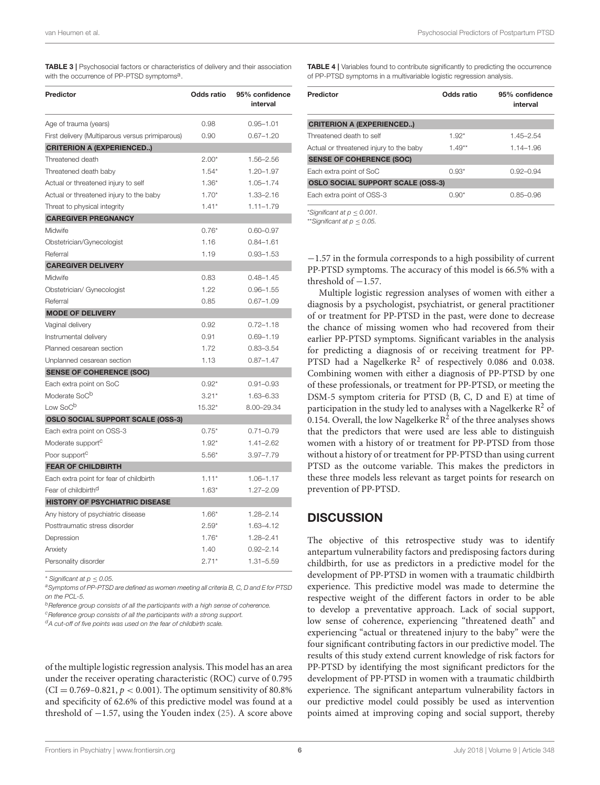<span id="page-5-0"></span>

| <b>TABLE 3</b>   Psychosocial factors or characteristics of delivery and their association<br>with the occurrence of PP-PTSD symptoms <sup>a</sup> . |  |  |  |  |  |
|------------------------------------------------------------------------------------------------------------------------------------------------------|--|--|--|--|--|
| 95% confidence<br>Odds ratio<br>interval                                                                                                             |  |  |  |  |  |
|                                                                                                                                                      |  |  |  |  |  |

Age of trauma (years) 0.98 0.95–1.01 First delivery (Multiparous versus primiparous) 0.90 0.67–1.20 CRITERION A (EXPERIENCED..) Threatened death  $2.00*$  1.56–2.56 Threatened death baby  $1.54^*$  1.20–1.97 Actual or threatened injury to self 1.36\* 1.05–1.74 Actual or threatened injury to the baby  $1.70^*$  1.33-2.16 Threat to physical integrity 1.41\* 1.11–1.79 CAREGIVER PREGNANCY Midwife 0.76\* 0.60–0.97 Obstetrician/Gynecologist 1.16 0.84-1.61 Referral 1.19 0.93–1.53 CAREGIVER DELIVERY Midwife 0.83 0.48–1.45 Obstetrician/ Gynecologist 1.22 0.96-1.55 Referral 0.85 0.67–1.09 MODE OF DELIVERY Vaginal delivery  $0.92$  0.72–1.18 Instrumental delivery 0.91 0.69–1.19 Planned cesarean section 1.72 0.83-3.54 Unplanned cesarean section 1.13 0.87–1.47 SENSE OF COHERENCE (SOC) Each extra point on SoC  $0.92*$  0.91-0.93 Moderate SoC $b$  3.21\* 1.63–6.33  $Low$  SoC<sup>b</sup>  $15.32*$  8.00–29.34 OSLO SOCIAL SUPPORT SCALE (OSS-3) Each extra point on OSS-3 0.75\* 0.71-0.79 Moderate support<sup>c</sup> 1.92<sup>\*</sup> 1.41–2.62 Poor support<sup>c</sup> 6.56\* 3.97–7.79 FEAR OF CHILDBIRTH Each extra point for fear of childbirth 1.11<sup>\*</sup> 1.06–1.17 Fear of childbirth<sup>d</sup>  $1.63*$  1.63<sup>\*</sup> 1.27–2.09 HISTORY OF PSYCHIATRIC DISEASE Any history of psychiatric disease 1.66\* 1.28–2.14 Posttraumatic stress disorder 2.59\* 1.63–4.12 Depression 1.76\* 1.28–2.41 Anxiety 1.40 0.92–2.14 Personality disorder 2.71\* 1.31–5.59

\* *Significant at p* ≤ *0.05.*

*<sup>a</sup>Symptoms of PP-PTSD are defined as women meeting all criteria B, C, D and E for PTSD on the PCL-5.*

*<sup>b</sup>Reference group consists of all the participants with a high sense of coherence.*

*<sup>c</sup>Reference group consists of all the participants with a strong support.*

*<sup>d</sup>A cut-off of five points was used on the fear of childbirth scale.*

of the multiple logistic regression analysis. This model has an area under the receiver operating characteristic (ROC) curve of 0.795  $(CI = 0.769 - 0.821, p < 0.001)$ . The optimum sensitivity of 80.8% and specificity of 62.6% of this predictive model was found at a threshold of −1.57, using the Youden index [\(25\)](#page-8-15). A score above <span id="page-5-1"></span>TABLE 4 | Variables found to contribute significantly to predicting the occurrence of PP-PTSD symptoms in a multivariable logistic regression analysis.

| Predictor                                | Odds ratio | 95% confidence<br>interval |
|------------------------------------------|------------|----------------------------|
| <b>CRITERION A (EXPERIENCED)</b>         |            |                            |
| Threatened death to self                 | $1.92*$    | $1.45 - 2.54$              |
| Actual or threatened injury to the baby  | $1.49**$   | 1.14-1.96                  |
| <b>SENSE OF COHERENCE (SOC)</b>          |            |                            |
| Each extra point of SoC                  | $0.93*$    | $0.92 - 0.94$              |
| <b>OSLO SOCIAL SUPPORT SCALE (OSS-3)</b> |            |                            |
| Each extra point of OSS-3                | $0.90*$    | $0.85 - 0.96$              |

\**Significant at p* ≤ *0.001.*

\*\**Significant at p* ≤ *0.05.*

−1.57 in the formula corresponds to a high possibility of current PP-PTSD symptoms. The accuracy of this model is 66.5% with a threshold of −1.57.

Multiple logistic regression analyses of women with either a diagnosis by a psychologist, psychiatrist, or general practitioner of or treatment for PP-PTSD in the past, were done to decrease the chance of missing women who had recovered from their earlier PP-PTSD symptoms. Significant variables in the analysis for predicting a diagnosis of or receiving treatment for PP-PTSD had a Nagelkerke  $R^2$  of respectively 0.086 and 0.038. Combining women with either a diagnosis of PP-PTSD by one of these professionals, or treatment for PP-PTSD, or meeting the DSM-5 symptom criteria for PTSD (B, C, D and E) at time of participation in the study led to analyses with a Nagelkerke  $\mathbb{R}^2$  of 0.154. Overall, the low Nagelkerke  $R^2$  of the three analyses shows that the predictors that were used are less able to distinguish women with a history of or treatment for PP-PTSD from those without a history of or treatment for PP-PTSD than using current PTSD as the outcome variable. This makes the predictors in these three models less relevant as target points for research on prevention of PP-PTSD.

#### **DISCUSSION**

The objective of this retrospective study was to identify antepartum vulnerability factors and predisposing factors during childbirth, for use as predictors in a predictive model for the development of PP-PTSD in women with a traumatic childbirth experience. This predictive model was made to determine the respective weight of the different factors in order to be able to develop a preventative approach. Lack of social support, low sense of coherence, experiencing "threatened death" and experiencing "actual or threatened injury to the baby" were the four significant contributing factors in our predictive model. The results of this study extend current knowledge of risk factors for PP-PTSD by identifying the most significant predictors for the development of PP-PTSD in women with a traumatic childbirth experience. The significant antepartum vulnerability factors in our predictive model could possibly be used as intervention points aimed at improving coping and social support, thereby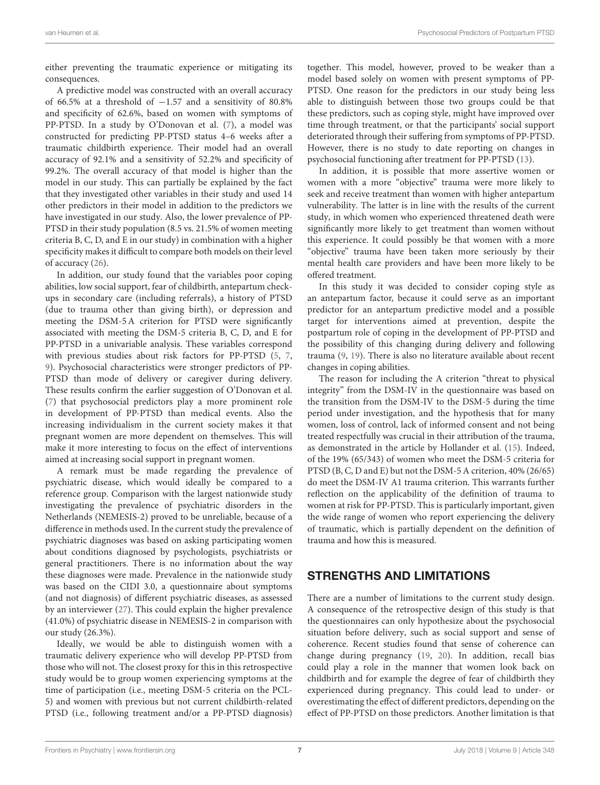either preventing the traumatic experience or mitigating its consequences.

A predictive model was constructed with an overall accuracy of 66.5% at a threshold of  $-1.57$  and a sensitivity of 80.8% and specificity of 62.6%, based on women with symptoms of PP-PTSD. In a study by O'Donovan et al. [\(7\)](#page-7-5), a model was constructed for predicting PP-PTSD status 4–6 weeks after a traumatic childbirth experience. Their model had an overall accuracy of 92.1% and a sensitivity of 52.2% and specificity of 99.2%. The overall accuracy of that model is higher than the model in our study. This can partially be explained by the fact that they investigated other variables in their study and used 14 other predictors in their model in addition to the predictors we have investigated in our study. Also, the lower prevalence of PP-PTSD in their study population (8.5 vs. 21.5% of women meeting criteria B, C, D, and E in our study) in combination with a higher specificity makes it difficult to compare both models on their level of accuracy [\(26\)](#page-8-16).

In addition, our study found that the variables poor coping abilities, low social support, fear of childbirth, antepartum checkups in secondary care (including referrals), a history of PTSD (due to trauma other than giving birth), or depression and meeting the DSM-5 A criterion for PTSD were significantly associated with meeting the DSM-5 criteria B, C, D, and E for PP-PTSD in a univariable analysis. These variables correspond with previous studies about risk factors for PP-PTSD [\(5,](#page-7-4) [7,](#page-7-5) [9\)](#page-8-0). Psychosocial characteristics were stronger predictors of PP-PTSD than mode of delivery or caregiver during delivery. These results confirm the earlier suggestion of O'Donovan et al. [\(7\)](#page-7-5) that psychosocial predictors play a more prominent role in development of PP-PTSD than medical events. Also the increasing individualism in the current society makes it that pregnant women are more dependent on themselves. This will make it more interesting to focus on the effect of interventions aimed at increasing social support in pregnant women.

A remark must be made regarding the prevalence of psychiatric disease, which would ideally be compared to a reference group. Comparison with the largest nationwide study investigating the prevalence of psychiatric disorders in the Netherlands (NEMESIS-2) proved to be unreliable, because of a difference in methods used. In the current study the prevalence of psychiatric diagnoses was based on asking participating women about conditions diagnosed by psychologists, psychiatrists or general practitioners. There is no information about the way these diagnoses were made. Prevalence in the nationwide study was based on the CIDI 3.0, a questionnaire about symptoms (and not diagnosis) of different psychiatric diseases, as assessed by an interviewer [\(27\)](#page-8-17). This could explain the higher prevalence (41.0%) of psychiatric disease in NEMESIS-2 in comparison with our study (26.3%).

Ideally, we would be able to distinguish women with a traumatic delivery experience who will develop PP-PTSD from those who will not. The closest proxy for this in this retrospective study would be to group women experiencing symptoms at the time of participation (i.e., meeting DSM-5 criteria on the PCL-5) and women with previous but not current childbirth-related PTSD (i.e., following treatment and/or a PP-PTSD diagnosis) together. This model, however, proved to be weaker than a model based solely on women with present symptoms of PP-PTSD. One reason for the predictors in our study being less able to distinguish between those two groups could be that these predictors, such as coping style, might have improved over time through treatment, or that the participants' social support deteriorated through their suffering from symptoms of PP-PTSD. However, there is no study to date reporting on changes in psychosocial functioning after treatment for PP-PTSD [\(13\)](#page-8-3).

In addition, it is possible that more assertive women or women with a more "objective" trauma were more likely to seek and receive treatment than women with higher antepartum vulnerability. The latter is in line with the results of the current study, in which women who experienced threatened death were significantly more likely to get treatment than women without this experience. It could possibly be that women with a more "objective" trauma have been taken more seriously by their mental health care providers and have been more likely to be offered treatment.

In this study it was decided to consider coping style as an antepartum factor, because it could serve as an important predictor for an antepartum predictive model and a possible target for interventions aimed at prevention, despite the postpartum role of coping in the development of PP-PTSD and the possibility of this changing during delivery and following trauma [\(9,](#page-8-0) [19\)](#page-8-9). There is also no literature available about recent changes in coping abilities.

The reason for including the A criterion "threat to physical integrity" from the DSM-IV in the questionnaire was based on the transition from the DSM-IV to the DSM-5 during the time period under investigation, and the hypothesis that for many women, loss of control, lack of informed consent and not being treated respectfully was crucial in their attribution of the trauma, as demonstrated in the article by Hollander et al. [\(15\)](#page-8-5). Indeed, of the 19% (65/343) of women who meet the DSM-5 criteria for PTSD (B, C, D and E) but not the DSM-5 A criterion, 40% (26/65) do meet the DSM-IV A1 trauma criterion. This warrants further reflection on the applicability of the definition of trauma to women at risk for PP-PTSD. This is particularly important, given the wide range of women who report experiencing the delivery of traumatic, which is partially dependent on the definition of trauma and how this is measured.

### STRENGTHS AND LIMITATIONS

There are a number of limitations to the current study design. A consequence of the retrospective design of this study is that the questionnaires can only hypothesize about the psychosocial situation before delivery, such as social support and sense of coherence. Recent studies found that sense of coherence can change during pregnancy [\(19,](#page-8-9) [20\)](#page-8-10). In addition, recall bias could play a role in the manner that women look back on childbirth and for example the degree of fear of childbirth they experienced during pregnancy. This could lead to under- or overestimating the effect of different predictors, depending on the effect of PP-PTSD on those predictors. Another limitation is that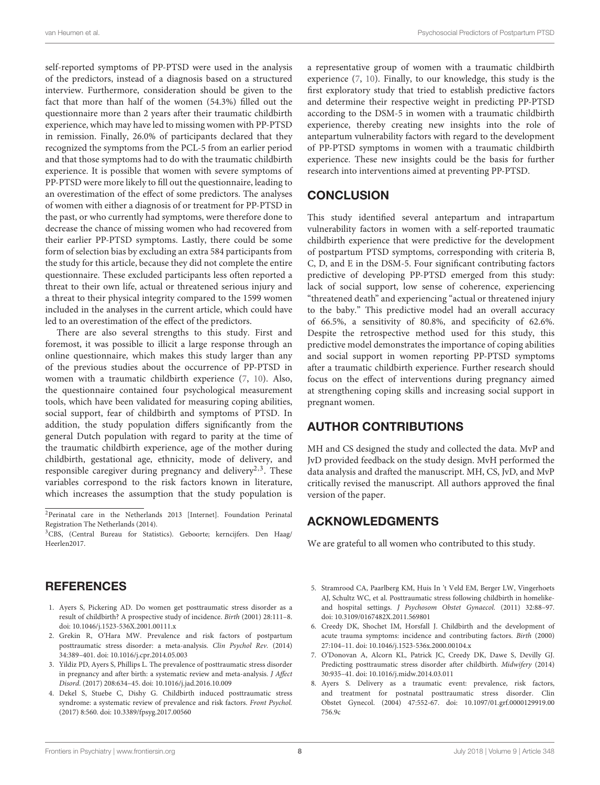self-reported symptoms of PP-PTSD were used in the analysis of the predictors, instead of a diagnosis based on a structured interview. Furthermore, consideration should be given to the fact that more than half of the women (54.3%) filled out the questionnaire more than 2 years after their traumatic childbirth experience, which may have led to missing women with PP-PTSD in remission. Finally, 26.0% of participants declared that they recognized the symptoms from the PCL-5 from an earlier period and that those symptoms had to do with the traumatic childbirth experience. It is possible that women with severe symptoms of PP-PTSD were more likely to fill out the questionnaire, leading to an overestimation of the effect of some predictors. The analyses of women with either a diagnosis of or treatment for PP-PTSD in the past, or who currently had symptoms, were therefore done to decrease the chance of missing women who had recovered from their earlier PP-PTSD symptoms. Lastly, there could be some form of selection bias by excluding an extra 584 participants from the study for this article, because they did not complete the entire questionnaire. These excluded participants less often reported a threat to their own life, actual or threatened serious injury and a threat to their physical integrity compared to the 1599 women included in the analyses in the current article, which could have led to an overestimation of the effect of the predictors.

There are also several strengths to this study. First and foremost, it was possible to illicit a large response through an online questionnaire, which makes this study larger than any of the previous studies about the occurrence of PP-PTSD in women with a traumatic childbirth experience [\(7,](#page-7-5) [10\)](#page-8-1). Also, the questionnaire contained four psychological measurement tools, which have been validated for measuring coping abilities, social support, fear of childbirth and symptoms of PTSD. In addition, the study population differs significantly from the general Dutch population with regard to parity at the time of the traumatic childbirth experience, age of the mother during childbirth, gestational age, ethnicity, mode of delivery, and responsible caregiver during pregnancy and delivery<sup>2,3</sup>. These variables correspond to the risk factors known in literature, which increases the assumption that the study population is

#### REFERENCES

- <span id="page-7-0"></span>1. Ayers S, Pickering AD. Do women get posttraumatic stress disorder as a result of childbirth? A prospective study of incidence. Birth (2001) 28:111–8. doi: [10.1046/j.1523-536X.2001.00111.x](https://doi.org/10.1046/j.1523-536X.2001.00111.x)
- <span id="page-7-1"></span>2. Grekin R, O'Hara MW. Prevalence and risk factors of postpartum posttraumatic stress disorder: a meta-analysis. Clin Psychol Rev. (2014) 34:389–401. doi: [10.1016/j.cpr.2014.05.003](https://doi.org/10.1016/j.cpr.2014.05.003)
- <span id="page-7-2"></span>3. Yildiz PD, Ayers S, Phillips L. The prevalence of posttraumatic stress disorder in pregnancy and after birth: a systematic review and meta-analysis. J Affect Disord. (2017) 208:634–45. doi: [10.1016/j.jad.2016.10.009](https://doi.org/10.1016/j.jad.2016.10.009)
- <span id="page-7-3"></span>4. Dekel S, Stuebe C, Dishy G. Childbirth induced posttraumatic stress syndrome: a systematic review of prevalence and risk factors. Front Psychol. (2017) 8:560. doi: [10.3389/fpsyg.2017.00560](https://doi.org/10.3389/fpsyg.2017.00560)

a representative group of women with a traumatic childbirth experience [\(7,](#page-7-5) [10\)](#page-8-1). Finally, to our knowledge, this study is the first exploratory study that tried to establish predictive factors and determine their respective weight in predicting PP-PTSD according to the DSM-5 in women with a traumatic childbirth experience, thereby creating new insights into the role of antepartum vulnerability factors with regard to the development of PP-PTSD symptoms in women with a traumatic childbirth experience. These new insights could be the basis for further research into interventions aimed at preventing PP-PTSD.

## **CONCLUSION**

This study identified several antepartum and intrapartum vulnerability factors in women with a self-reported traumatic childbirth experience that were predictive for the development of postpartum PTSD symptoms, corresponding with criteria B, C, D, and E in the DSM-5. Four significant contributing factors predictive of developing PP-PTSD emerged from this study: lack of social support, low sense of coherence, experiencing "threatened death" and experiencing "actual or threatened injury to the baby." This predictive model had an overall accuracy of 66.5%, a sensitivity of 80.8%, and specificity of 62.6%. Despite the retrospective method used for this study, this predictive model demonstrates the importance of coping abilities and social support in women reporting PP-PTSD symptoms after a traumatic childbirth experience. Further research should focus on the effect of interventions during pregnancy aimed at strengthening coping skills and increasing social support in pregnant women.

## AUTHOR CONTRIBUTIONS

MH and CS designed the study and collected the data. MvP and JvD provided feedback on the study design. MvH performed the data analysis and drafted the manuscript. MH, CS, JvD, and MvP critically revised the manuscript. All authors approved the final version of the paper.

# ACKNOWLEDGMENTS

We are grateful to all women who contributed to this study.

- <span id="page-7-4"></span>5. Stramrood CA, Paarlberg KM, Huis In 't Veld EM, Berger LW, Vingerhoets AJ, Schultz WC, et al. Posttraumatic stress following childbirth in homelikeand hospital settings. J Psychosom Obstet Gynaecol. (2011) 32:88–97. doi: [10.3109/0167482X.2011.569801](https://doi.org/10.3109/0167482X.2011.569801)
- 6. Creedy DK, Shochet IM, Horsfall J. Childbirth and the development of acute trauma symptoms: incidence and contributing factors. Birth (2000) 27:104–11. doi: [10.1046/j.1523-536x.2000.00104.x](https://doi.org/10.1046/j.1523-536x.2000.00104.x)
- <span id="page-7-5"></span>7. O'Donovan A, Alcorn KL, Patrick JC, Creedy DK, Dawe S, Devilly GJ. Predicting posttraumatic stress disorder after childbirth. Midwifery (2014) 30:935–41. doi: [10.1016/j.midw.2014.03.011](https://doi.org/10.1016/j.midw.2014.03.011)
- <span id="page-7-6"></span>8. Ayers S. Delivery as a traumatic event: prevalence, risk factors, and treatment for postnatal posttraumatic stress disorder. Clin [Obstet Gynecol. \(2004\) 47:552-67. doi: 10.1097/01.grf.0000129919.00](https://doi.org/10.1097/01.grf.0000129919.00756.9c) 756.9c

 $^2$ Perinatal care in the Netherlands 2013 [Internet]. Foundation Perinatal Registration The Netherlands (2014).

<sup>3</sup>CBS, (Central Bureau for Statistics). Geboorte; kerncijfers. Den Haag/ Heerlen2017.